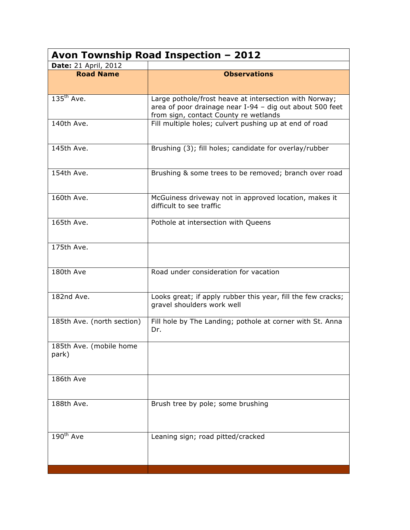| Avon Township Road Inspection - 2012 |                                                                                                                                                             |  |
|--------------------------------------|-------------------------------------------------------------------------------------------------------------------------------------------------------------|--|
| <b>Date:</b> 21 April, 2012          |                                                                                                                                                             |  |
| <b>Road Name</b>                     | <b>Observations</b>                                                                                                                                         |  |
| $135^{\text{th}}$ Ave.               | Large pothole/frost heave at intersection with Norway;<br>area of poor drainage near I-94 - dig out about 500 feet<br>from sign, contact County re wetlands |  |
| 140th Ave.                           | Fill multiple holes; culvert pushing up at end of road                                                                                                      |  |
| 145th Ave.                           | Brushing (3); fill holes; candidate for overlay/rubber                                                                                                      |  |
| 154th Ave.                           | Brushing & some trees to be removed; branch over road                                                                                                       |  |
| 160th Ave.                           | McGuiness driveway not in approved location, makes it<br>difficult to see traffic                                                                           |  |
| 165th Ave.                           | Pothole at intersection with Queens                                                                                                                         |  |
| 175th Ave.                           |                                                                                                                                                             |  |
| 180th Ave                            | Road under consideration for vacation                                                                                                                       |  |
| 182nd Ave.                           | Looks great; if apply rubber this year, fill the few cracks;<br>gravel shoulders work well                                                                  |  |
| 185th Ave. (north section)           | Fill hole by The Landing; pothole at corner with St. Anna<br>Dr.                                                                                            |  |
| 185th Ave. (mobile home<br>park)     |                                                                                                                                                             |  |
| 186th Ave                            |                                                                                                                                                             |  |
| 188th Ave.                           | Brush tree by pole; some brushing                                                                                                                           |  |
| $190^{th}$ Ave                       | Leaning sign; road pitted/cracked                                                                                                                           |  |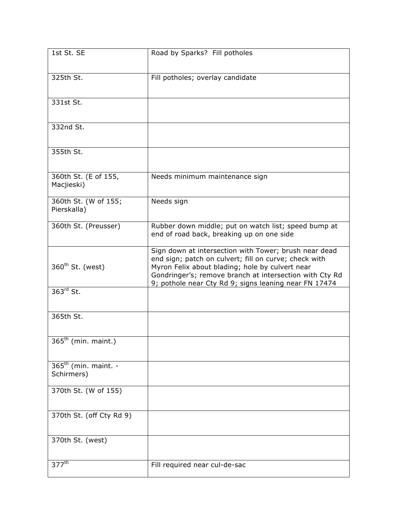| 1st St. SE                           | Road by Sparks? Fill potholes                                                                                                                                                                                                                                                         |
|--------------------------------------|---------------------------------------------------------------------------------------------------------------------------------------------------------------------------------------------------------------------------------------------------------------------------------------|
| 325th St.                            | Fill potholes; overlay candidate                                                                                                                                                                                                                                                      |
| 331st St.                            |                                                                                                                                                                                                                                                                                       |
| 332nd St.                            |                                                                                                                                                                                                                                                                                       |
| 355th St.                            |                                                                                                                                                                                                                                                                                       |
| 360th St. (E of 155,<br>Macjieski)   | Needs minimum maintenance sign                                                                                                                                                                                                                                                        |
| 360th St. (W of 155;<br>Pierskalla)  | Needs sign                                                                                                                                                                                                                                                                            |
| 360th St. (Preusser)                 | Rubber down middle; put on watch list; speed bump at<br>end of road back, breaking up on one side                                                                                                                                                                                     |
| 360 <sup>th</sup> St. (west)         | Sign down at intersection with Tower; brush near dead<br>end sign; patch on culvert; fill on curve; check with<br>Myron Felix about blading; hole by culvert near<br>Gondringer's; remove branch at intersection with Cty Rd<br>9; pothole near Cty Rd 9; signs leaning near FN 17474 |
| $363rd$ St.                          |                                                                                                                                                                                                                                                                                       |
| 365th St.                            |                                                                                                                                                                                                                                                                                       |
| $365th$ (min. maint.)                |                                                                                                                                                                                                                                                                                       |
| $365th$ (min. maint. -<br>Schirmers) |                                                                                                                                                                                                                                                                                       |
| 370th St. (W of 155)                 |                                                                                                                                                                                                                                                                                       |
| 370th St. (off Cty Rd 9)             |                                                                                                                                                                                                                                                                                       |
| 370th St. (west)                     |                                                                                                                                                                                                                                                                                       |
| $377^{\text{th}}$                    | Fill required near cul-de-sac                                                                                                                                                                                                                                                         |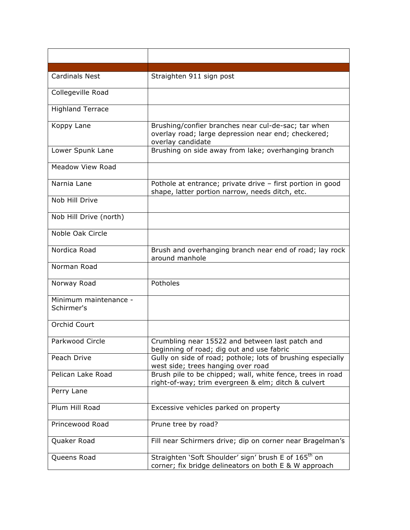| <b>Cardinals Nest</b>               | Straighten 911 sign post                                                                                                        |
|-------------------------------------|---------------------------------------------------------------------------------------------------------------------------------|
| Collegeville Road                   |                                                                                                                                 |
| <b>Highland Terrace</b>             |                                                                                                                                 |
| Koppy Lane                          | Brushing/confier branches near cul-de-sac; tar when<br>overlay road; large depression near end; checkered;<br>overlay candidate |
| Lower Spunk Lane                    | Brushing on side away from lake; overhanging branch                                                                             |
| <b>Meadow View Road</b>             |                                                                                                                                 |
| Narnia Lane                         | Pothole at entrance; private drive - first portion in good<br>shape, latter portion narrow, needs ditch, etc.                   |
| Nob Hill Drive                      |                                                                                                                                 |
| Nob Hill Drive (north)              |                                                                                                                                 |
| Noble Oak Circle                    |                                                                                                                                 |
| Nordica Road                        | Brush and overhanging branch near end of road; lay rock<br>around manhole                                                       |
| Norman Road                         |                                                                                                                                 |
| Norway Road                         | Potholes                                                                                                                        |
| Minimum maintenance -<br>Schirmer's |                                                                                                                                 |
| Orchid Court                        |                                                                                                                                 |
| Parkwood Circle                     | Crumbling near 15522 and between last patch and<br>beginning of road; dig out and use fabric                                    |
| Peach Drive                         | Gully on side of road; pothole; lots of brushing especially<br>west side; trees hanging over road                               |
| Pelican Lake Road                   | Brush pile to be chipped; wall, white fence, trees in road<br>right-of-way; trim evergreen & elm; ditch & culvert               |
| Perry Lane                          |                                                                                                                                 |
| Plum Hill Road                      | Excessive vehicles parked on property                                                                                           |
| Princewood Road                     | Prune tree by road?                                                                                                             |
| Quaker Road                         | Fill near Schirmers drive; dip on corner near Bragelman's                                                                       |
| Queens Road                         | Straighten 'Soft Shoulder' sign' brush E of 165 <sup>th</sup> on<br>corner; fix bridge delineators on both E & W approach       |